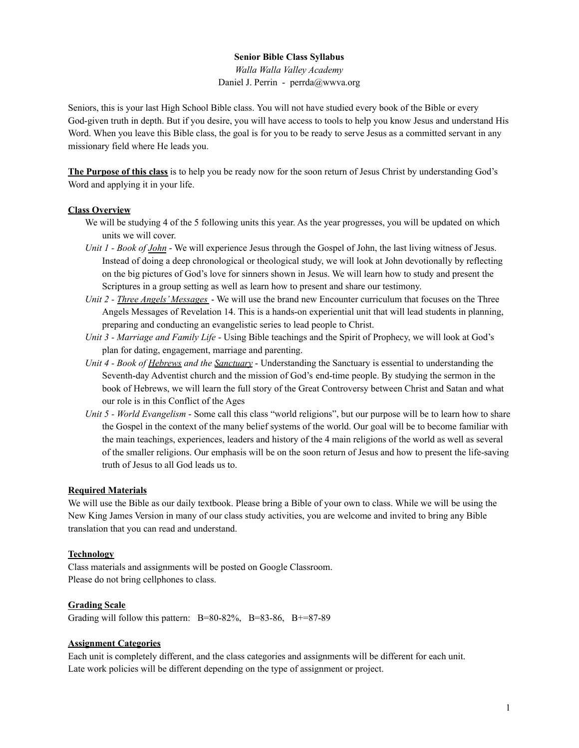## **Senior Bible Class Syllabus**

*Walla Walla Valley Academy* Daniel J. Perrin - perrda@wwva.org

Seniors, this is your last High School Bible class. You will not have studied every book of the Bible or every God-given truth in depth. But if you desire, you will have access to tools to help you know Jesus and understand His Word. When you leave this Bible class, the goal is for you to be ready to serve Jesus as a committed servant in any missionary field where He leads you.

**The Purpose of this class** is to help you be ready now for the soon return of Jesus Christ by understanding God's Word and applying it in your life.

### **Class Overview**

- We will be studying 4 of the 5 following units this year. As the year progresses, you will be updated on which units we will cover.
- *Unit 1 - Book of John* We will experience Jesus through the Gospel of John, the last living witness of Jesus. Instead of doing a deep chronological or theological study, we will look at John devotionally by reflecting on the big pictures of God's love for sinners shown in Jesus. We will learn how to study and present the Scriptures in a group setting as well as learn how to present and share our testimony.
- *Unit 2 - Three Angels' Messages* We will use the brand new Encounter curriculum that focuses on the Three Angels Messages of Revelation 14. This is a hands-on experiential unit that will lead students in planning, preparing and conducting an evangelistic series to lead people to Christ.
- *Unit 3 - Marriage and Family Life* Using Bible teachings and the Spirit of Prophecy, we will look at God's plan for dating, engagement, marriage and parenting.
- *Unit 4 - Book of Hebrews and the Sanctuary* Understanding the Sanctuary is essential to understanding the Seventh-day Adventist church and the mission of God's end-time people. By studying the sermon in the book of Hebrews, we will learn the full story of the Great Controversy between Christ and Satan and what our role is in this Conflict of the Ages
- *Unit 5 - World Evangelism* Some call this class "world religions", but our purpose will be to learn how to share the Gospel in the context of the many belief systems of the world. Our goal will be to become familiar with the main teachings, experiences, leaders and history of the 4 main religions of the world as well as several of the smaller religions. Our emphasis will be on the soon return of Jesus and how to present the life-saving truth of Jesus to all God leads us to.

#### **Required Materials**

We will use the Bible as our daily textbook. Please bring a Bible of your own to class. While we will be using the New King James Version in many of our class study activities, you are welcome and invited to bring any Bible translation that you can read and understand.

#### **Technology**

Class materials and assignments will be posted on Google Classroom. Please do not bring cellphones to class.

## **Grading Scale**

Grading will follow this pattern:  $B=80-82\%$ ,  $B=83-86$ ,  $B+=87-89$ 

## **Assignment Categories**

Each unit is completely different, and the class categories and assignments will be different for each unit. Late work policies will be different depending on the type of assignment or project.